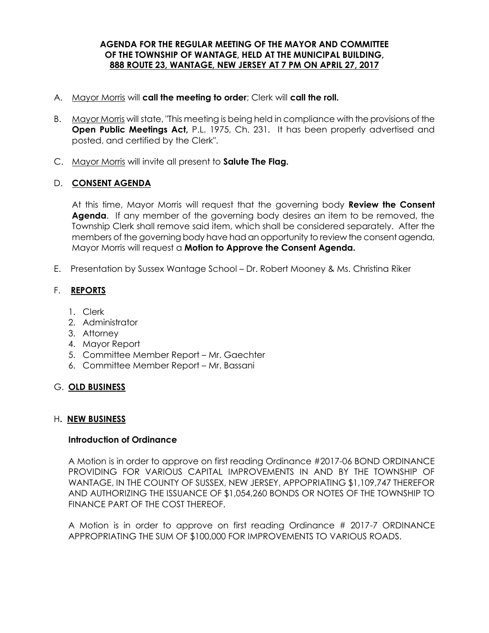#### **AGENDA FOR THE REGULAR MEETING OF THE MAYOR AND COMMITTEE OF THE TOWNSHIP OF WANTAGE, HELD AT THE MUNICIPAL BUILDING, 888 ROUTE 23, WANTAGE, NEW JERSEY AT 7 PM ON APRIL 27, 2017**

- A. Mayor Morris will **call the meeting to order**; Clerk will **call the roll.**
- B. Mayor Morris will state, "This meeting is being held in compliance with the provisions of the **Open Public Meetings Act,** P.L. 1975, Ch. 231. It has been properly advertised and posted, and certified by the Clerk".
- C. Mayor Morris will invite all present to **Salute The Flag.**

#### D. **CONSENT AGENDA**

At this time, Mayor Morris will request that the governing body **Review the Consent Agenda**. If any member of the governing body desires an item to be removed, the Township Clerk shall remove said item, which shall be considered separately. After the members of the governing body have had an opportunity to review the consent agenda, Mayor Morris will request a **Motion to Approve the Consent Agenda.** 

E. Presentation by Sussex Wantage School – Dr. Robert Mooney & Ms. Christina Riker

# F. **REPORTS**

- 1. Clerk
- 2. Administrator
- 3. Attorney
- 4. Mayor Report
- 5. Committee Member Report Mr. Gaechter
- 6. Committee Member Report Mr. Bassani

# G. **OLD BUSINESS**

# H**. NEW BUSINESS**

# **Introduction of Ordinance**

A Motion is in order to approve on first reading Ordinance #2017-06 BOND ORDINANCE PROVIDING FOR VARIOUS CAPITAL IMPROVEMENTS IN AND BY THE TOWNSHIP OF WANTAGE, IN THE COUNTY OF SUSSEX, NEW JERSEY, APPOPRIATING \$1,109,747 THEREFOR AND AUTHORIZING THE ISSUANCE OF \$1,054,260 BONDS OR NOTES OF THE TOWNSHIP TO FINANCE PART OF THE COST THEREOF.

A Motion is in order to approve on first reading Ordinance # 2017-7 ORDINANCE APPROPRIATING THE SUM OF \$100,000 FOR IMPROVEMENTS TO VARIOUS ROADS.